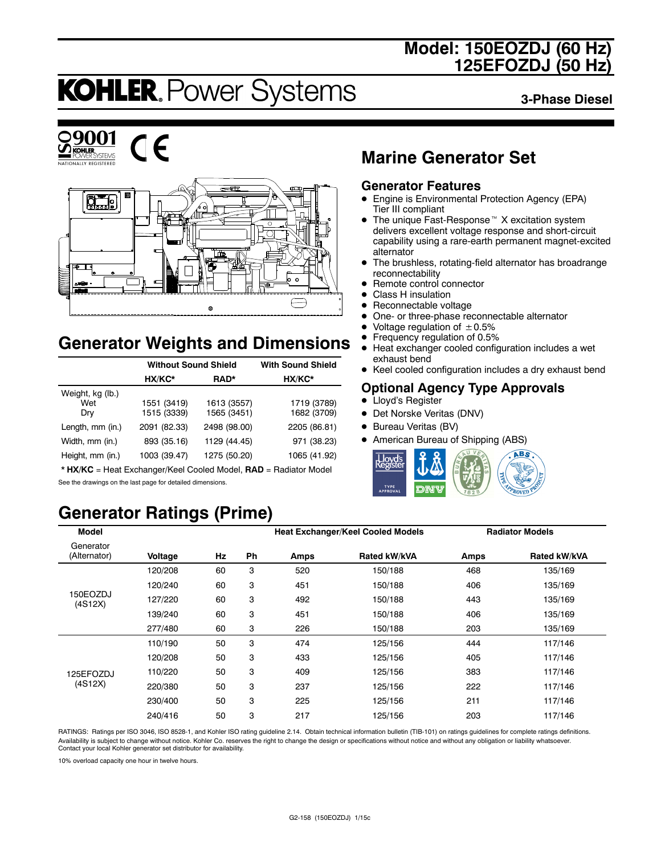# **Model: 150EOZDJ (60 Hz) 125EFOZDJ (50 Hz)**

# **KOHLER. Power Systems**

**3-Phase Diesel**





 $\epsilon$ 



# **Generator Weights and Dimensions**

|                         | <b>Without Sound Shield</b> | <b>With Sound Shield</b> |              |
|-------------------------|-----------------------------|--------------------------|--------------|
|                         | HX/KC*                      | RAD*                     | HX/KC*       |
| Weight, kg (lb.)<br>Wet | 1551 (3419)                 | 1613 (3557)              | 1719 (3789)  |
| Dry                     | 1515 (3339)                 | 1565 (3451)              | 1682 (3709)  |
| Length, mm (in.)        | 2091 (82.33)                | 2498 (98.00)             | 2205 (86.81) |
| Width, mm (in.)         | 893 (35.16)                 | 1129 (44.45)             | 971 (38.23)  |
| Height, mm (in.)        | 1003 (39.47)                | 1275 (50.20)             | 1065 (41.92) |

\* **HX/KC** = Heat Exchanger/Keel Cooled Model, **RAD** = Radiator Model See the drawings on the last page for detailed dimensions.

# **Generator Ratings (Prime)**

# **Marine Generator Set**

### **Generator Features**

- Engine is Environmental Protection Agency (EPA) Tier III compliant
- $\bullet$  The unique Fast-Response<sup> $M$ </sup> X excitation system delivers excellent voltage response and short-circuit capability using a rare-earth permanent magnet-excited alternator
- The brushless, rotating-field alternator has broadrange reconnectability
- Remote control connector
- Class H insulation
- $\bullet$  Reconnectable voltage
- One- or three-phase reconnectable alternator
- Voltage regulation of  $\pm 0.5\%$ <br>• Frequency regulation of 0.5%
- **•** Frequency regulation of 0.5%<br>• Heat exchanger cooled config
- Heat exchanger cooled configuration includes a wet exhaust bend
- Keel cooled configuration includes a dry exhaust bend

### **Optional Agency Type Approvals**

- Lloyd's Register
- Det Norske Veritas (DNV)
- Bureau Veritas (BV)
- American Bureau of Shipping (ABS)



| <b>Model</b>              |         |    |           | <b>Heat Exchanger/Keel Cooled Models</b> |              |      | <b>Radiator Models</b> |
|---------------------------|---------|----|-----------|------------------------------------------|--------------|------|------------------------|
| Generator<br>(Alternator) | Voltage | Hz | <b>Ph</b> | Amps                                     | Rated kW/kVA | Amps | Rated kW/kVA           |
|                           | 120/208 | 60 | 3         | 520                                      | 150/188      | 468  | 135/169                |
|                           | 120/240 | 60 | 3         | 451                                      | 150/188      | 406  | 135/169                |
| 150EOZDJ<br>(4S12X)       | 127/220 | 60 | 3         | 492                                      | 150/188      | 443  | 135/169                |
|                           | 139/240 | 60 | 3         | 451                                      | 150/188      | 406  | 135/169                |
|                           | 277/480 | 60 | 3         | 226                                      | 150/188      | 203  | 135/169                |
|                           | 110/190 | 50 | 3         | 474                                      | 125/156      | 444  | 117/146                |
|                           | 120/208 | 50 | 3         | 433                                      | 125/156      | 405  | 117/146                |
| 125EFOZDJ                 | 110/220 | 50 | 3         | 409                                      | 125/156      | 383  | 117/146                |
| (4S12X)                   | 220/380 | 50 | 3         | 237                                      | 125/156      | 222  | 117/146                |
|                           | 230/400 | 50 | 3         | 225                                      | 125/156      | 211  | 117/146                |
|                           | 240/416 | 50 | 3         | 217                                      | 125/156      | 203  | 117/146                |

RATINGS: Ratings per ISO 3046, ISO 8528-1, and Kohler ISO rating guideline 2.14. Obtain technical information bulletin (TIB-101) on ratings guidelines for complete ratings definitions. Availability is subject to change without notice. Kohler Co. reserves the right to change the design or specifications without notice and without any obligation or liability whatsoever. Contact your local Kohler generator set distributor for availability.

10% overload capacity one hour in twelve hours.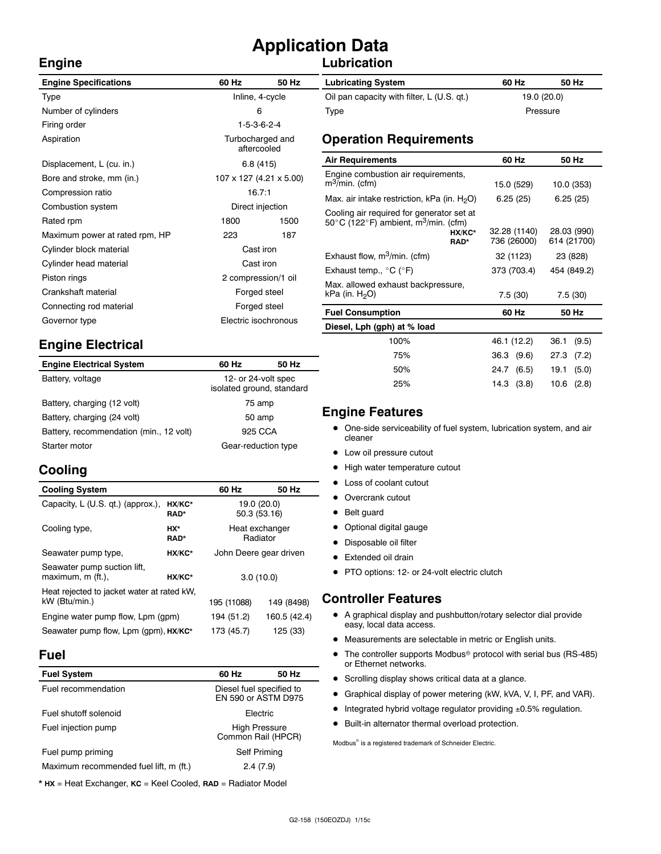# **Application Data**

### **Lubrication**

| <b>Engine Specifications</b>   | 60 Hz                           | 50 Hz                | <b>Lubricating System</b>                                                                                      |           |
|--------------------------------|---------------------------------|----------------------|----------------------------------------------------------------------------------------------------------------|-----------|
| Type                           | Inline, 4-cycle                 |                      | Oil pan capacity with filter, L (U.S. qt.)                                                                     |           |
| Number of cylinders            | 6                               |                      | Type                                                                                                           |           |
| Firing order                   | $1-5-3-6-2-4$                   |                      |                                                                                                                |           |
| Aspiration                     | Turbocharged and<br>aftercooled |                      | <b>Operation Requirements</b>                                                                                  |           |
| Displacement, L (cu. in.)      | 6.8(415)                        |                      | <b>Air Requirements</b>                                                                                        |           |
| Bore and stroke, mm (in.)      | 107 x 127 (4.21 x 5.00)         |                      | Engine combustion air requirements,<br>$m^3$ /min. (cfm)                                                       | 15        |
| Compression ratio              | 16.7:1                          |                      | Max. air intake restriction, kPa (in. $H_2O$ )                                                                 | 6         |
| Combustion system              | Direct injection                |                      | Cooling air required for generator set at<br>50 $\degree$ C (122 $\degree$ F) ambient, m $\degree$ /min. (cfm) |           |
| Rated rpm                      | 1800<br>1500                    |                      |                                                                                                                |           |
| Maximum power at rated rpm, HP | 223                             | 187                  | HX/KC*<br>RAD*                                                                                                 | 32.<br>73 |
| Cylinder block material        | Cast iron                       |                      |                                                                                                                |           |
| Cylinder head material         | Cast iron                       |                      | Exhaust flow, $m^3/m$ in. (cfm)                                                                                | 3         |
| Piston rings                   | 2 compression/1 oil             |                      | Exhaust temp., $^{\circ}$ C ( $^{\circ}$ F)                                                                    | 37        |
| Crankshaft material            | Forged steel                    |                      | Max. allowed exhaust backpressure,<br>kPa (in. $H_2O$ )                                                        |           |
| Connecting rod material        | Forged steel                    |                      | <b>Fuel Consumption</b>                                                                                        |           |
| Governor type                  |                                 | Electric isochronous |                                                                                                                |           |
|                                |                                 |                      | Diesel, Lph (gph) at % load                                                                                    |           |

# **Engine Electrical**

| <b>Engine Electrical System</b>         | 60 Hz                                            | 50 Hz |  |
|-----------------------------------------|--------------------------------------------------|-------|--|
| Battery, voltage                        | 12- or 24-volt spec<br>isolated ground, standard |       |  |
| Battery, charging (12 volt)             | 75 amp                                           |       |  |
| Battery, charging (24 volt)             | 50 amp                                           |       |  |
| Battery, recommendation (min., 12 volt) | 925 CCA                                          |       |  |
| Starter motor                           | Gear-reduction type                              |       |  |

# **Cooling**

**Engine**

| <b>Cooling System</b>                                       |                       | 60 Hz                  | 50 Hz                      |
|-------------------------------------------------------------|-----------------------|------------------------|----------------------------|
| Capacity, L (U.S. qt.) (approx.),                           | HX/KC*<br><b>RAD*</b> | 50.3 (53.16)           | 19.0 (20.0)                |
| Cooling type,                                               | HX*<br><b>RAD*</b>    |                        | Heat exchanger<br>Radiator |
| Seawater pump type,                                         | HX/KC*                | John Deere gear driven |                            |
| Seawater pump suction lift,<br>maximum, m (ft.),<br>HX/KC*  |                       | 3.0(10.0)              |                            |
| Heat rejected to jacket water at rated kW.<br>kW (Btu/min.) | 195 (11088)           | 149 (8498)             |                            |
| Engine water pump flow, Lpm (gpm)                           | 194 (51.2)            | 160.5 (42.4)           |                            |
| Seawater pump flow, Lpm (gpm), HX/KC*                       |                       | 173 (45.7)             | 125 (33)                   |

#### **Fuel**

| <b>Fuel System</b>                     | 60 Hz                                           | 50 Hz |  |
|----------------------------------------|-------------------------------------------------|-------|--|
| Fuel recommendation                    | Diesel fuel specified to<br>EN 590 or ASTM D975 |       |  |
| Fuel shutoff solenoid                  | Electric                                        |       |  |
| Fuel injection pump                    | <b>High Pressure</b><br>Common Rail (HPCR)      |       |  |
| Fuel pump priming                      | Self Priming                                    |       |  |
| Maximum recommended fuel lift, m (ft.) | 2.4(7.9)                                        |       |  |

\* **HX** = Heat Exchanger, **KC** = Keel Cooled, **RAD** = Radiator Model

| <b>Lubricating System</b>                  | 60 Hz       | 50 Hz    |
|--------------------------------------------|-------------|----------|
| Oil pan capacity with filter, L (U.S. qt.) | 19.0 (20.0) |          |
| Type                                       |             | Pressure |

| <b>Air Requirements</b>                                                                                                             | 60 Hz                       | 50 Hz                      |
|-------------------------------------------------------------------------------------------------------------------------------------|-----------------------------|----------------------------|
| Engine combustion air requirements,<br>m <sup>3</sup> /min. (cfm)                                                                   | 15.0 (529)                  | 10.0 (353)                 |
| Max. air intake restriction, kPa (in. $H_2O$ )                                                                                      | 6.25(25)                    | 6.25(25)                   |
| Cooling air required for generator set at<br>50 $\degree$ C (122 $\degree$ F) ambient, m <sup>3</sup> /min. (cfm)<br>HX/KC*<br>RAD* | 32.28 (1140)<br>736 (26000) | 28.03 (990)<br>614 (21700) |
| Exhaust flow, $m^3/m$ in. (cfm)                                                                                                     | 32 (1123)                   | 23 (828)                   |
| Exhaust temp., $^{\circ}$ C ( $^{\circ}$ F)                                                                                         | 373 (703.4)                 | 454 (849.2)                |
| Max. allowed exhaust backpressure,<br>kPa (in. $H_2O$ )                                                                             | 7.5(30)                     | 7.5(30)                    |
| <b>Fuel Consumption</b>                                                                                                             | 60 Hz                       | 50 Hz                      |
| Diesel, Lph (gph) at % load                                                                                                         |                             |                            |
| 100%                                                                                                                                | 46.1 (12.2)                 | 36.1<br>(9.5)              |
| 75%                                                                                                                                 | 36.3 (9.6)                  | 27.3<br>(7.2)              |

### **Engine Features**

• One-side serviceability of fuel system, lubrication system, and air cleaner

50% 24.7 (6.5) 19.1 (5.0) 25% 14.3 (3.8) 10.6 (2.8)

- Low oil pressure cutout
- High water temperature cutout
- Loss of coolant cutout
- Overcrank cutout
- Belt guard
- Optional digital gauge
- Disposable oil filter
- Extended oil drain
- PTO options: 12- or 24-volt electric clutch

### **Controller Features**

- A graphical display and pushbutton/rotary selector dial provide easy, local data access.
- $\bullet$  Measurements are selectable in metric or English units.
- $\bullet$  The controller supports Modbus<sup>®</sup> protocol with serial bus (RS-485) or Ethernet networks.
- Scrolling display shows critical data at a glance.
- Graphical display of power metering (kW, kVA, V, I, PF, and VAR).
- $\bullet$  Integrated hybrid voltage regulator providing  $\pm 0.5\%$  regulation.
- $\bullet$  Built-in alternator thermal overload protection.

Modbus<sup>®</sup> is a registered trademark of Schneider Electric.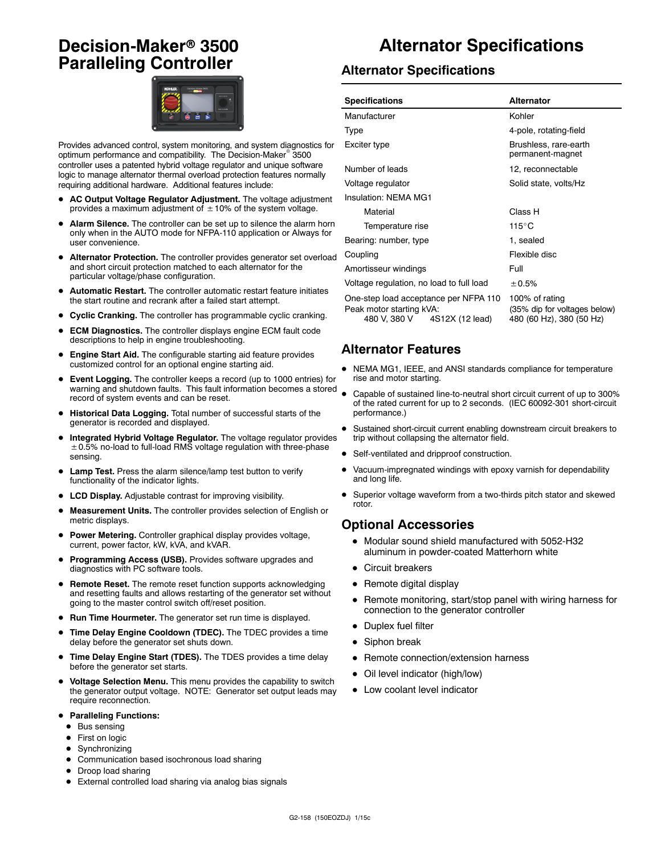# **Decision-Maker<sup>®</sup> 3500 Paralleling Controller**



Provides advanced control, system monitoring, and system diagnostics for optimum performance and compatibility. The Decision-Maker<sup>®</sup> 3500 controller uses a patented hybrid voltage regulator and unique software logic to manage alternator thermal overload protection features normally requiring additional hardware. Additional features include:

- AC Output Voltage Regulator Adjustment. The voltage adjustment provides a maximum adjustment of  $\pm$  10% of the system voltage.
- Alarm Silence. The controller can be set up to silence the alarm horn only when in the AUTO mode for NFPA-110 application or Always for user convenience.
- Alternator Protection. The controller provides generator set overload and short circuit protection matched to each alternator for the particular voltage/phase configuration.
- Automatic Restart. The controller automatic restart feature initiates the start routine and recrank after a failed start attempt.
- **Cyclic Cranking.** The controller has programmable cyclic cranking.
- **ECM Diagnostics.** The controller displays engine ECM fault code descriptions to help in engine troubleshooting.
- Engine Start Aid. The configurable starting aid feature provides customized control for an optional engine starting aid.
- **Event Logging.** The controller keeps a record (up to 1000 entries) for warning and shutdown faults. This fault information becomes a stored record of system events and can be reset.
- $\bullet$  Historical Data Logging. Total number of successful starts of the generator is recorded and displayed.
- Integrated Hybrid Voltage Regulator. The voltage regulator provides  $\pm$  0.5% no-load to full-load RMS voltage regulation with three-phase sensing.
- Lamp Test. Press the alarm silence/lamp test button to verify functionality of the indicator lights.
- LCD Display. Adjustable contrast for improving visibility.
- Measurement Units. The controller provides selection of English or metric displays.
- **Power Metering.** Controller graphical display provides voltage, current, power factor, kW, kVA, and kVAR.
- Programming Access (USB). Provides software upgrades and diagnostics with PC software tools.
- **Remote Reset.** The remote reset function supports acknowledging and resetting faults and allows restarting of the generator set without going to the master control switch off/reset position.
- Run Time Hourmeter. The generator set run time is displayed.
- **Time Delay Engine Cooldown (TDEC).** The TDEC provides a time delay before the generator set shuts down.
- Time Delay Engine Start (TDES). The TDES provides a time delay before the generator set starts.
- $\bullet$  Voltage Selection Menu. This menu provides the capability to switch the generator output voltage. NOTE: Generator set output leads may require reconnection.
- **Paralleling Functions:** 
	- $\bullet$  Bus sensing
	- First on logic
	- $\bullet$  Synchronizing
	- $\bullet$  Communication based isochronous load sharing
	- Droop load sharing
	- External controlled load sharing via analog bias signals

# **Alternator Specifications**

#### **Alternator Specifications**

| <b>Specifications</b>                                                                                | <b>Alternator</b>                                                          |  |
|------------------------------------------------------------------------------------------------------|----------------------------------------------------------------------------|--|
| Manufacturer                                                                                         | Kohler                                                                     |  |
| Type                                                                                                 | 4-pole, rotating-field                                                     |  |
| Exciter type                                                                                         | Brushless, rare-earth<br>permanent-magnet                                  |  |
| Number of leads                                                                                      | 12, reconnectable                                                          |  |
| Voltage regulator                                                                                    | Solid state, volts/Hz                                                      |  |
| Insulation: NFMA MG1                                                                                 |                                                                            |  |
| Material                                                                                             | Class H                                                                    |  |
| Temperature rise                                                                                     | 115°C                                                                      |  |
| Bearing: number, type                                                                                | 1, sealed                                                                  |  |
| Coupling                                                                                             | Flexible disc                                                              |  |
| Amortisseur windings                                                                                 | Full                                                                       |  |
| Voltage regulation, no load to full load                                                             | ± 0.5%                                                                     |  |
| One-step load acceptance per NFPA 110<br>Peak motor starting kVA:<br>480 V, 380 V<br>4S12X (12 lead) | 100% of rating<br>(35% dip for voltages below)<br>480 (60 Hz), 380 (50 Hz) |  |

#### **Alternator Features**

- NEMA MG1, IEEE, and ANSI standards compliance for temperature rise and motor starting.
- Capable of sustained line-to-neutral short circuit current of up to 300% of the rated current for up to 2 seconds. (IEC 60092-301 short-circuit performance.)
- Sustained short-circuit current enabling downstream circuit breakers to trip without collapsing the alternator field.
- Self-ventilated and dripproof construction.
- Vacuum-impregnated windings with epoxy varnish for dependability and long life.
- Superior voltage waveform from a two-thirds pitch stator and skewed rotor.

#### **Optional Accessories**

- $\bullet$  Modular sound shield manufactured with 5052-H32 aluminum in powder-coated Matterhorn white
- $\bullet$  Circuit breakers
- $\bullet$  Remote digital display
- Remote monitoring, start/stop panel with wiring harness for connection to the generator controller
- Duplex fuel filter
- $\bullet$  Siphon break
- Remote connection/extension harness
- Oil level indicator (high/low)
- Low coolant level indicator